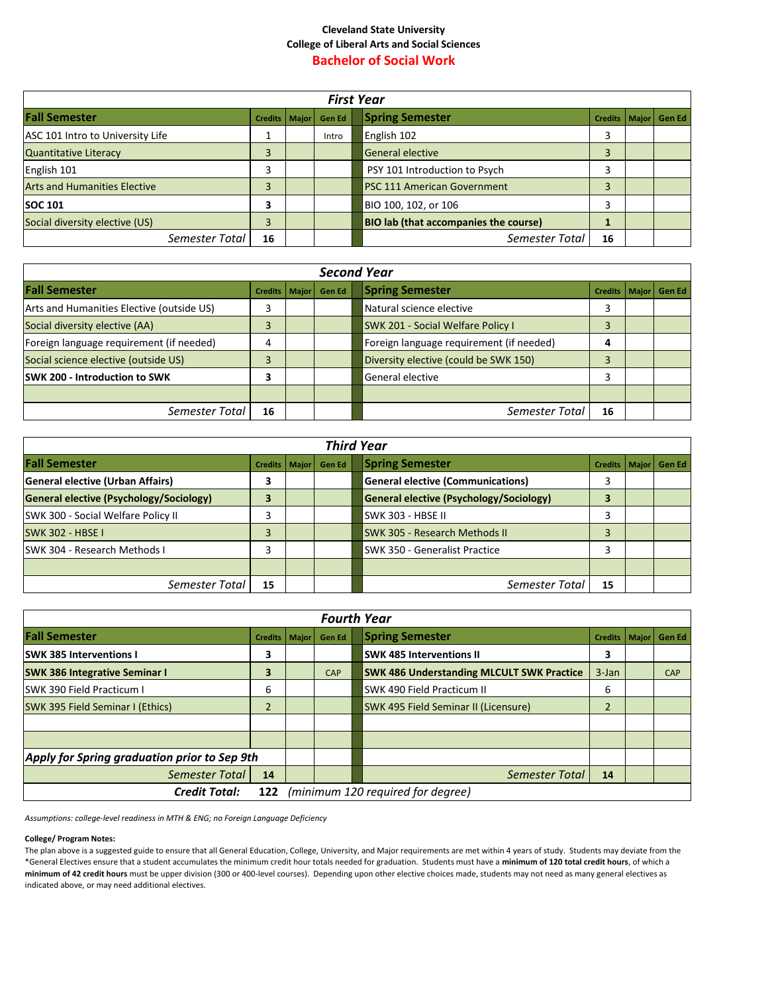## **Cleveland State University College of Liberal Arts and Social Sciences Bachelor of Social Work**

| <b>First Year</b>                   |                        |  |               |  |                                              |    |  |                          |
|-------------------------------------|------------------------|--|---------------|--|----------------------------------------------|----|--|--------------------------|
| <b>Fall Semester</b>                | <b>Credits   Major</b> |  | <b>Gen Ed</b> |  | <b>Spring Semester</b>                       |    |  | Credits   Major   Gen Ed |
| ASC 101 Intro to University Life    |                        |  | Intro         |  | English 102                                  |    |  |                          |
| <b>Quantitative Literacy</b>        |                        |  |               |  | General elective                             |    |  |                          |
| English 101                         |                        |  |               |  | PSY 101 Introduction to Psych                |    |  |                          |
| <b>Arts and Humanities Elective</b> |                        |  |               |  | <b>PSC 111 American Government</b>           |    |  |                          |
| <b>SOC 101</b>                      |                        |  |               |  | BIO 100, 102, or 106                         |    |  |                          |
| Social diversity elective (US)      |                        |  |               |  | <b>BIO lab (that accompanies the course)</b> |    |  |                          |
| Semester Total                      | 16                     |  |               |  | Semester Total                               | 16 |  |                          |

| <b>Second Year</b>                        |                 |  |        |  |                                          |    |  |                          |
|-------------------------------------------|-----------------|--|--------|--|------------------------------------------|----|--|--------------------------|
| <b>Fall Semester</b>                      | Credits   Major |  | Gen Ed |  | <b>Spring Semester</b>                   |    |  | Credits   Major   Gen Ed |
| Arts and Humanities Elective (outside US) | 3               |  |        |  | Natural science elective                 | 3  |  |                          |
| Social diversity elective (AA)            | 3               |  |        |  | <b>SWK 201 - Social Welfare Policy I</b> |    |  |                          |
| Foreign language requirement (if needed)  | 4               |  |        |  | Foreign language requirement (if needed) | 4  |  |                          |
| Social science elective (outside US)      | 3               |  |        |  | Diversity elective (could be SWK 150)    |    |  |                          |
| <b>SWK 200 - Introduction to SWK</b>      | 3               |  |        |  | General elective                         |    |  |                          |
|                                           |                 |  |        |  |                                          |    |  |                          |
| Semester Total                            | 16              |  |        |  | Semester Total                           | 16 |  |                          |

| <b>Third Year</b>                       |                 |  |               |  |                                          |                 |  |               |
|-----------------------------------------|-----------------|--|---------------|--|------------------------------------------|-----------------|--|---------------|
| <b>Fall Semester</b>                    | Credits   Major |  | <b>Gen Ed</b> |  | <b>Spring Semester</b>                   | Credits   Major |  | <b>Gen Ed</b> |
| <b>General elective (Urban Affairs)</b> | 3               |  |               |  | <b>General elective (Communications)</b> |                 |  |               |
| General elective (Psychology/Sociology) | 3               |  |               |  | General elective (Psychology/Sociology)  |                 |  |               |
| SWK 300 - Social Welfare Policy II      |                 |  |               |  | SWK 303 - HBSE II                        |                 |  |               |
| <b>SWK 302 - HBSE I</b>                 | 3               |  |               |  | <b>SWK 305 - Research Methods II</b>     |                 |  |               |
| ISWK 304 - Research Methods I           | 3               |  |               |  | <b>SWK 350 - Generalist Practice</b>     |                 |  |               |
|                                         |                 |  |               |  |                                          |                 |  |               |
| Semester Total                          | 15              |  |               |  | Semester Total                           | 15              |  |               |

| <b>Fourth Year</b>                                               |                |       |               |  |                                                  |          |              |               |
|------------------------------------------------------------------|----------------|-------|---------------|--|--------------------------------------------------|----------|--------------|---------------|
| <b>Fall Semester</b>                                             | Credits        | Major | <b>Gen Ed</b> |  | <b>Spring Semester</b>                           | Credits  | <b>Major</b> | <b>Gen Ed</b> |
| <b>ISWK 385 Interventions I</b>                                  | 3              |       |               |  | <b>SWK 485 Interventions II</b>                  | 3        |              |               |
| <b>SWK 386 Integrative Seminar I</b>                             | 3              |       | <b>CAP</b>    |  | <b>SWK 486 Understanding MLCULT SWK Practice</b> | $3$ -Jan |              | <b>CAP</b>    |
| <b>SWK 390 Field Practicum I</b>                                 | 6              |       |               |  | SWK 490 Field Practicum II                       | 6        |              |               |
| <b>SWK 395 Field Seminar I (Ethics)</b>                          | $\overline{2}$ |       |               |  | SWK 495 Field Seminar II (Licensure)             | h        |              |               |
|                                                                  |                |       |               |  |                                                  |          |              |               |
|                                                                  |                |       |               |  |                                                  |          |              |               |
| Apply for Spring graduation prior to Sep 9th                     |                |       |               |  |                                                  |          |              |               |
| Semester Total                                                   | 14             |       |               |  | Semester Total                                   | 14       |              |               |
| (minimum 120 required for degree)<br><b>Credit Total:</b><br>122 |                |       |               |  |                                                  |          |              |               |

*Assumptions: college-level readiness in MTH & ENG; no Foreign Language Deficiency*

## **College/ Program Notes:**

The plan above is a suggested guide to ensure that all General Education, College, University, and Major requirements are met within 4 years of study. Students may deviate from the \*General Electives ensure that a student accumulates the minimum credit hour totals needed for graduation. Students must have a **minimum of 120 total credit hours**, of which a **minimum of 42 credit hours** must be upper division (300 or 400-level courses). Depending upon other elective choices made, students may not need as many general electives as indicated above, or may need additional electives.